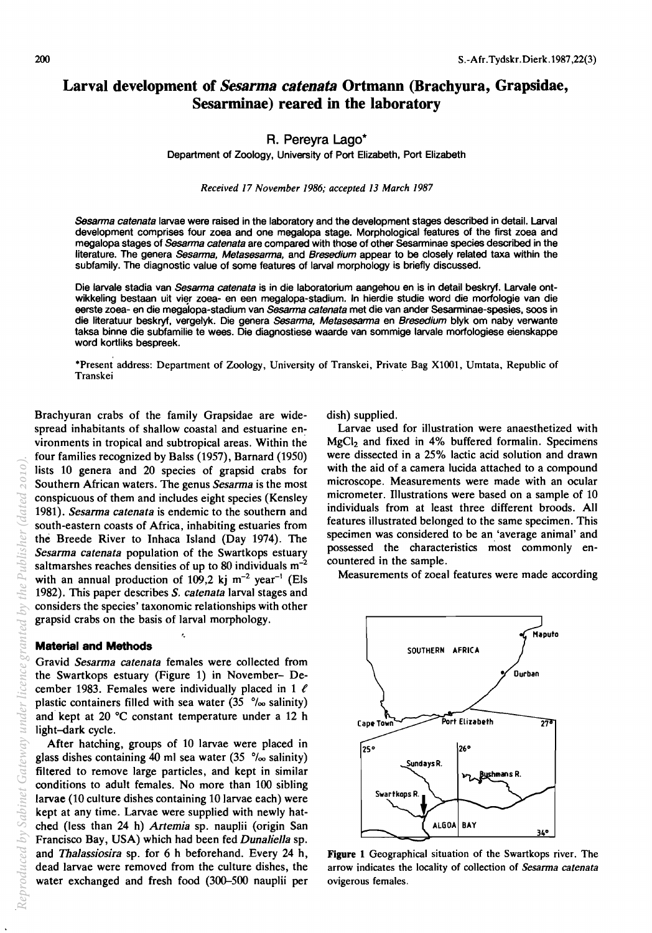# **Larval development of** *Sesarma catenata* **Ortmann (Brachyura, Grapsidae, Sesarminae) reared in the laboratory**

### R. Pereyra Lago\*

Department of Zoology, University of Port Elizabeth, Port Elizabeth

*Received* 17 *November* 1986; *accepted* 13 *March 1987* 

Sesarma catenata larvae were raised in the laboratory and the development stages described in detail. Larval development comprises four zoea and one megalopa stage. Morphological features of the first zoea and megalopa stages of Sesarma catenata are compared with those of other Sesarminae species described in the literature. The genera Sesarma, Metasesarma, and Bresedium appear to be closely related taxa within the subfamily. The diagnostic value of some features of larval morphology is briefly discussed.

Die larvale stadia van *Sesarma catenata* is in die laboratorium aangehou en is in detail beskryf. Larvale ontwikkeling bestaan uit vier zoea- en een megalopa-stadium. In hierdie studie word die morfologie van die eerste zoea- en die megalopa-stadium van Sesarma catenata met die van ander Sesarminae-spesies, soos in die literatuur beskryf, vergelyk. Die genera Sesarma, Metasesarma en Bresedium blyk om naby verwante taksa binne die subfamilie te wees. Die diagnostiese waarde van sommige larvale morfologiese eienskappe word kortliks bespreek.

·Present address: Department of Zoology, University of Transkei, Private Bag X1OO1, Umtata, Republic of Transkei

Brachyuran crabs of the family Grapsidae are widespread inhabitants of shallow coastal and estuarine environments in tropical and subtropical areas. Within the four families recognized by Balss (1957), Barnard (1950) lists 10 genera and 20 species of grapsid crabs for Southern African waters. The genus *Sesarma* is the most conspicuous of them and includes eight species (Kensley *1981). Sesarma catenata* is endemic to the southern and south-eastern coasts of Africa, inhabiting estuaries from the Breede River to Inhaca Island (Day 1974). The *Sesarma catenata* population of the Swartkops estuary saltmarshes reaches densities of up to 80 individuals m-2 with an annual production of 109,2 kj  $m^{-2}$  year<sup>-1</sup> (Els 1982). This paper describes *S. catenata* larval stages and considers the species' taxonomic relationships with other grapsid crabs on the basis of larval morphology.

#### **Material and Methods**

Gravid *Sesarma catenata* females were collected from the Swartkops estuary (Figure 1) in November- December 1983. Females were individually placed in 1  $\ell$ plastic containers filled with sea water  $(35 \degree/ \circ \circ$  salinity) and kept at 20°C constant temperature under a 12 h light-dark cycle.

After hatching, groups of 10 larvae were placed in glass dishes containing 40 ml sea water  $(35 \degree/_{\infty}$  salinity) filtered to remove large particles, and kept in similar conditions to adult females. No more than 100 sibling larvae (10 culture dishes containing 10 larvae each) were kept at any time. Larvae were supplied with newly hatched (less than 24 h) *Artemia* sp. naupJii (origin San Francisco Bay, USA) which had been fed *Dunalie/la* sp. and *Thalassiosira* sp. for 6 h beforehand. Every 24 h, dead larvae were removed from the culture dishes, the water exchanged and fresh food (300-500 nauplii per

dish) supplied.

Larvae used for illustration were anaesthetized with  $MgCl<sub>2</sub>$  and fixed in 4% buffered formalin. Specimens were dissected in a 25% lactic acid solution and drawn with the aid of a camera lucida attached to a compound microscope. Measurements were made with an ocular micrometer. Illustrations were based on a sample of 10 individuals from at least three different broods. All features illustrated belonged to the same specimen. This specimen was considered to be an 'average animal' and possessed the characteristics most commonly encountered in the sample.

Measurements of zoeal features were made according



Figure 1 Geographical situation of the Swartkops river. The arrow indicates the locality of collection of *Sesarma catenata*  ovigerous females.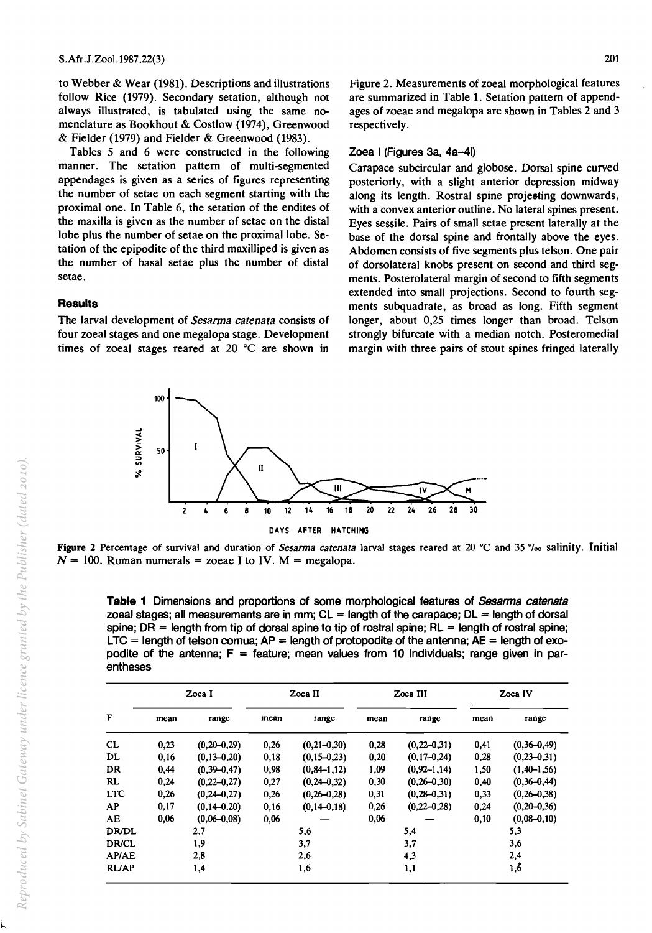to Webber & Wear (1981). Descriptions and illustrations follow Rice (1979). Secondary setation, although not always illustrated, is tabulated using the same nomenclature as Bookhout & Costlow (1974), Greenwood & Fielder (1979) and Fielder & Greenwood (1983).

Tables 5 and 6 were constructed in the following manner. The setation pattern of multi-segmented appendages is given as a series of figures representing the number of setae on each segment starting with the proximal one. In Table 6, the setation of the endites of the maxilla is given as the number of setae on the distal lobe plus the number of setae on the proximal lobe. Setation of the epipodite of the third maxilliped is given as the number of basal setae plus the number of distal setae.

### **Results**

The larval development of *Sesarma catenata* consists of four zoeal stages and one megalopa stage. Development times of zoeal stages reared at 20°C are shown in

Figure 2. Measurements of zoeal morphological features are summarized in Table 1. Setation pattern of appendages of zoeae and megalopa are shown in Tables 2 and 3 respectively.

#### Zoea I (Figures 3a, 4a-4i)

Carapace subcircular and globose. Dorsal spine curved posteriorly, with a slight anterior depression midway along its length. Rostral spine projeeting downwards, with a convex anterior outline. No lateral spines present. Eyes sessile. Pairs of small setae present laterally at the base of the dorsal spine and frontally above the eyes. Abdomen consists of five segments plus telson. One pair of dorsolateral knobs present on second and third segments. Posterolateral margin of second to fifth segments extended into small projections. Second to fourth segments subquadrate, as broad as long. Fifth segment longer, about 0,25 times longer than broad. Telson strongly bifurcate with a median notch. Posteromedial margin with three pairs of stout spines fringed laterally



Figure 2 Percentage of survival and duration of *Sesarma catenata* larval stages reared at 20 °C and 35 °/<sub>00</sub> salinity. Initial  $N = 100$ . Roman numerals = zoeae I to IV. M = megalopa.

**Table 1** Dimensions and proportions of some morphological features of Sesarma catenata zoeal stages; all measurements are in mm;  $CL = length$  of the carapace;  $DL = length$  of dorsal spine; DR = length from tip of dorsal spine to tip of rostral spine;  $RL =$  length of rostral spine;  $LTC$  = length of telson cornua;  $AP$  = length of protopodite of the antenna;  $AE$  = length of exopodite of the antenna;  $F =$  feature; mean values from 10 individuals; range given in parentheses

| F            | Zoea I |                   |      | Zoea II           |      | Zoea III          | Zoea IV |                   |  |
|--------------|--------|-------------------|------|-------------------|------|-------------------|---------|-------------------|--|
|              | mean   | range             | mean | range             | mean | range             | mean    | range             |  |
| CL           | 0,23   | $(0,20-0,29)$     | 0,26 | $(0, 21 - 0, 30)$ | 0,28 | $(0, 22 - 0, 31)$ | 0,41    | $(0,36-0,49)$     |  |
| DL           | 0,16   | $(0.13 - 0.20)$   | 0,18 | $(0.15 - 0.23)$   | 0,20 | $(0, 17 - 0, 24)$ | 0,28    | $(0,23-0,31)$     |  |
| DR           | 0.44   | $(0.39 - 0.47)$   | 0,98 | $(0, 84 - 1, 12)$ | 1,09 | $(0.92 - 1.14)$   | 1,50    | $(1,40-1,56)$     |  |
| RL           | 0.24   | $(0, 22 - 0, 27)$ | 0,27 | $(0, 24 - 0.32)$  | 0,30 | $(0,26 - 0.30)$   | 0,40    | $(0,36 - 0,44)$   |  |
| <b>LTC</b>   | 0.26   | $(0,24 - 0.27)$   | 0,26 | $(0, 26 - 0.28)$  | 0,31 | $(0, 28 - 0, 31)$ | 0,33    | $(0,26 - 0,38)$   |  |
| AP           | 0,17   | $(0,14-0,20)$     | 0,16 | $(0,14-0,18)$     | 0,26 | $(0.22 - 0.28)$   | 0,24    | $(0, 20 - 0, 36)$ |  |
| AE           | 0.06   | $(0.06 - 0.08)$   | 0,06 |                   | 0,06 |                   | 0.10    | $(0.08 - 0.10)$   |  |
| <b>DR/DL</b> | 2,7    |                   | 5,6  |                   | 5,4  |                   | 5,3     |                   |  |
| <b>DR/CL</b> | 1,9    |                   | 3,7  |                   | 3,7  |                   | 3,6     |                   |  |
| AP/AE        | 2,8    |                   | 2,6  |                   | 4,3  |                   | 2,4     |                   |  |
| <b>RL/AP</b> | 1,4    |                   | 1,6  |                   |      | 1,1               | 1,6     |                   |  |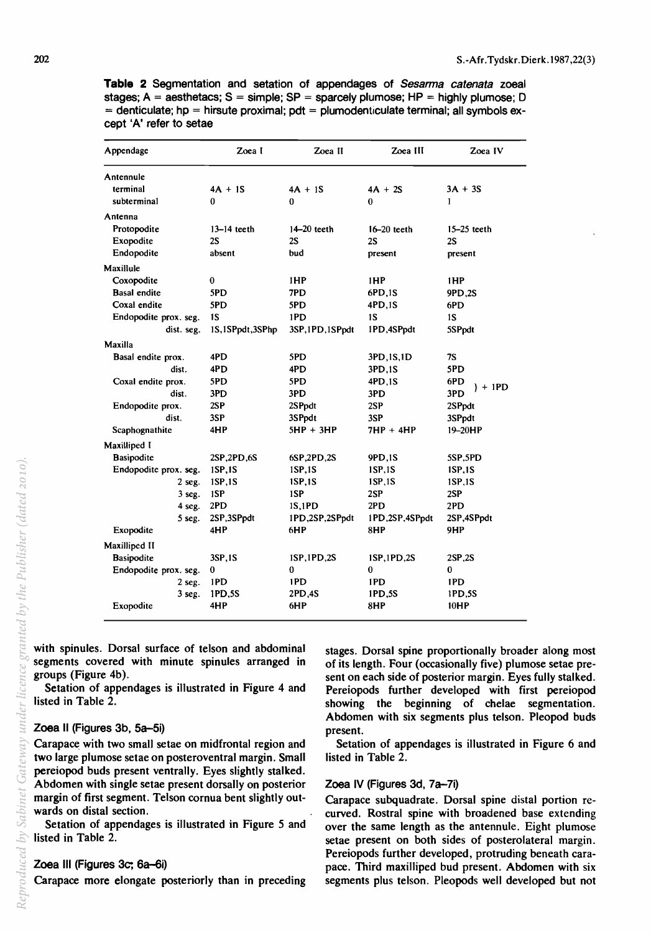**Table 2** Segmentation and setation of appendages of Sesarma catenata zoeal stages;  $A =$  aesthetacs;  $S =$  simple;  $SP =$  sparcely plumose;  $HP =$  highly plumose; D  $=$  denticulate; hp  $=$  hirsute proximal; pdt  $=$  plumodenticulate terminal; all symbols except 'A' refer to setae

| Appendage             | Zoea I          | Zoea II          | Zoea III       | Zoea IV       |  |
|-----------------------|-----------------|------------------|----------------|---------------|--|
| Antennule             |                 |                  |                |               |  |
| terminal              | $4A + 1S$       | $4A + 1S$        | $4A + 2S$      | $3A + 3S$     |  |
| subterminal           | 0               | 0                | 0              | 1             |  |
| Antenna               |                 |                  |                |               |  |
| Protopodite           | $13-14$ teeth   | $14-20$ teeth    | $16-20$ teeth  | $15-25$ teeth |  |
| Exopodite             | 2S              | 2S               | 2S             | 2S            |  |
| Endopodite            | absent          | bud              | present        | present       |  |
| Maxillule             |                 |                  |                |               |  |
| Coxopodite            | $\bf{0}$        | 1HP              | 1HP            | 1HP           |  |
| <b>Basal endite</b>   | 5PD             | 7PD.             | 6PD,1S         | 9PD.2S        |  |
| Coxal endite          | 5PD             | 5PD              | 4PD,1S         | 6PD           |  |
| Endopodite prox. seg. | 1S              | 1PD              | <b>1S</b>      | 1S            |  |
| dist. seg.            | 1S,1SPpdt,3SPhp | 3SP, 1PD, 1SPpdt | 1PD,4SPpdt     | 5SPpdt        |  |
| Maxilla               |                 |                  |                |               |  |
| Basal endite prox.    | 4PD             | 5PD              | 3PD, 1S, 1D    | 7S            |  |
| dist.                 | 4P <sub>D</sub> | 4PD              | 3PD.1S         | 5PD           |  |
| Coxal endite prox.    | 5PD             | 5PD              | 4PD.1S         | 6PD           |  |
| dist.                 | 3PD             | 3PD              | 3PD            | $+1PD$<br>3PD |  |
| Endopodite prox.      | 2SP             | 2SPpdt           | 2SP            | 2SPpdt        |  |
| dist.                 | 3SP             | 3SPpdt           | 3SP            | 3SPpdt        |  |
| Scaphognathite        | 4HP             | 5HP + 3HP        | 7HP + 4HP      | 19-20HP       |  |
| Maxilliped I          |                 |                  |                |               |  |
| <b>Basipodite</b>     | 2SP,2PD,6S      | 6SP,2PD,2S       | 9PD,1S         | 5SP,5PD       |  |
| Endopodite prox. seg. | 1SP.1S          | 1SP.1S           | 1SP,1S         | 1SP.1S        |  |
| $2$ seg.              | 1SP.1S          | 1SP.1S           | 1SP, 1S        | 1SP.1S        |  |
| $3$ seg.              | 1SP             | 1SP              | 2SP            | 2SP           |  |
| 4 seg.                | 2PD             | 1 <b>S,1PD</b>   | 2PD            | 2PD           |  |
| 5 seg.                | 2SP,3SPpdt      | 1PD,2SP,2SPpdt   | 1PD,2SP,4SPpdt | 2SP,4SPpdt    |  |
| Exopodite             | 4HP             | 6HP              | 8HP            | 9HP           |  |
| Maxilliped II         |                 |                  |                |               |  |
| <b>Basipodite</b>     | 3SP,1S          | 1SP, 1PD, 2S     | 1SP, 1PD, 2S   | 2SP.2S        |  |
| Endopodite prox. seg. | $\bf{0}$        | 0                | $\bf{0}$       | 0             |  |
| 2 seg.                | 1PD             | 1PD              | 1PD            | 1PD           |  |
| $3$ seg.              | 1PD,5S          | 2PD,4S           | 1PD.5S         | 1PD,5S        |  |
| Exopodite             | 4HP             | 6HP              | 8HP            | 10HP          |  |

with spinules. Dorsal surface of telson and abdominal segments covered with minute spinules arranged in groups (Figure 4b).

Setation of appendages is illustrated in Figure 4 and listed in Table 2.

#### Zoea II (Figures 3b, 5a-5i)

Carapace with two small setae on midfrontal region and two large plumose setae on posteroventral margin. Small pereiopod buds present ventrally. Eyes slightly stalked. Abdomen with single setae present dorsally on posterior margin of first segment. Telson cornua bent slightly outwards on distal section.

Setation of appendages is illustrated in Figure 5 and listed in Table 2.

### Zoea III (Figures 3c; 6a-6i)

Carapace more elongate posteriorly than in preceding

stages. Dorsal spine proportionally broader along most of its length. Four (occasionally five) plumose setae present on each side of posterior margin. Eyes fully stalked. Pereiopods further developed with first pereiopod showing the beginning of chelae segmentation. Abdomen with six segments plus telson. Pleopod buds present.

Setation of appendages is illustrated in Figure 6 and listed in Table 2.

#### Zoea IV (Figures 3d, 7a-7i)

Carapace subquadrate. Dorsal spine distal portion recurved. Rostral spine with broadened base extending over the same length as the antennule. Eight plumose setae present on both sides of posterolateral margin. Pereiopods further developed, protruding beneath carapace. Third maxilliped bud present. Abdomen with six segments plus telson. Pleopods well developed but not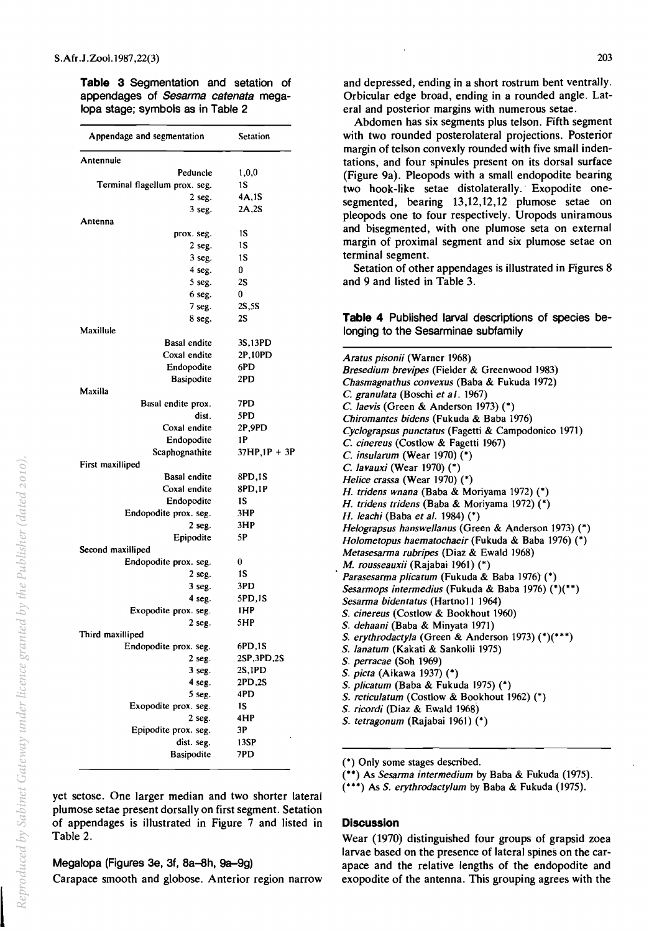**Table 3** Segmentation and setation of appendages of Sesarma catenata megalopa stage; symbols as in Table 2

| Appendage and segmentation        | Setation               |
|-----------------------------------|------------------------|
| Antennule                         |                        |
| Peduncle                          | 1,0,0                  |
| Terminal flagellum prox. seg.     | 1S                     |
| $2$ seg.                          | 4A,1S                  |
| 3 seg.                            | 2A,2S                  |
| Antenna                           |                        |
| prox. seg.                        | 1S                     |
| $2$ seg.                          | 1S                     |
| 3 seg.                            | 1S                     |
| 4 seg.                            | 0                      |
| 5 seg.                            | 2S                     |
| 6 seg.                            | $\bf{0}$               |
| $7$ seg.                          | 2S, 5S                 |
| $8$ seg.                          | 2S                     |
| Maxillule<br><b>Basal endite</b>  | 3S,13PD                |
| Coxal endite                      | 2P,10PD                |
| Endopodite                        | 6PD                    |
| <b>Basipodite</b>                 | 2PD                    |
| Maxilla                           |                        |
| Basal endite prox.                | 7PD                    |
| dist.                             | 5PD                    |
| Coxal endite                      | 2P,9PD                 |
| Endopodite                        | 1P                     |
| Scaphognathite                    | $37HP,1P + 3P$         |
| First maxilliped                  |                        |
| <b>Basal endite</b>               | 8PD,1S                 |
| Coxal endite                      | 8PD,1P                 |
| Endopodite                        | 1S                     |
| Endopodite prox. seg.             | 3HP                    |
| $2$ seg.                          | 3HP                    |
| Epipodite                         | 5Ρ                     |
| Second maxilliped                 |                        |
| Endopodite prox. seg.             | 0                      |
| $2$ seg.                          | 1S                     |
| $3$ seg.                          | 3PD                    |
| 4 seg.                            | 5PD,1S                 |
| Exopodite prox. seg.              | 1HP                    |
| 2 seg.                            | 5HP                    |
| Third maxilliped                  |                        |
| Endopodite prox. seg.<br>$2$ seg. | 6PD,1S<br>2SP, 3PD, 2S |
| 3 seg.                            | 2S,1PD                 |
| 4 seg.                            | 2PD,2S                 |
| 5 seg.                            | 4PD                    |
| Exopodite prox. seg.              | 1S                     |
| $2$ seg.                          | 4HP                    |
| Epipodite prox. seg.              | 3Р                     |
| dist. seg.                        | 13SP                   |
| <b>Basipodite</b>                 | 7PD                    |

and depressed, ending in a short rostrum bent ventrally. Orbicular edge broad, ending in a rounded angle. Lateral and posterior margins with numerous setae.

Abdomen has six segments plus telson. Fifth segment with two rounded posterolateral projections. Posterior margin of telson convexly rounded with five small indentations, and four spinules present on its dorsal surface (Figure 9a). Pleopods with a small endopodite bearing two hook-like setae distolaterally.· Exopodite onesegmented, bearing 13,12,12,12 plumose setae on pleopods one to four respectively. Uropods uniramous and bisegmented, with one plumose seta on external margin of proximal segment and six plumose setae on terminal segment.

Setation of other appendages is illustrated in Figures 8 and 9 and listed in Table 3.

### **Table 4** Published larval descriptions of species belonging to the Sesarminae subfamily

| Aratus pisonii (Warner 1968)<br>Bresedium brevipes (Fielder & Greenwood 1983)<br>Chasmagnathus convexus (Baba & Fukuda 1972) |
|------------------------------------------------------------------------------------------------------------------------------|
| C. granulata (Boschi et al. 1967)                                                                                            |
| C. laevis (Green & Anderson 1973) $(*)$                                                                                      |
| Chiromantes bidens (Fukuda & Baba 1976)                                                                                      |
| Cyclograpsus punctatus (Fagetti & Campodonico 1971)                                                                          |
| C. cinereus (Costlow & Fagetti 1967)                                                                                         |
| C. insularum (Wear 1970) $(*)$                                                                                               |
| C. lavauxi (Wear 1970) $(*)$                                                                                                 |
| Helice crassa (Wear 1970) (*)                                                                                                |
| H. tridens wnana (Baba & Moriyama 1972) (*)                                                                                  |
| H. tridens tridens (Baba & Moriyama 1972) (*)                                                                                |
| H. leachi (Baba et al. 1984) (*)                                                                                             |
| Helograpsus hanswellanus (Green & Anderson 1973) (*)                                                                         |
| Holometopus haematochaeir (Fukuda & Baba 1976) (*)                                                                           |
| Metasesarma rubripes (Diaz & Ewald 1968)                                                                                     |
| M. rousseauxii (Rajabai 1961) (*)                                                                                            |
| Parasesarma plicatum (Fukuda & Baba 1976) (*)                                                                                |
| Sesarmops intermedius (Fukuda & Baba 1976) (*)(**)                                                                           |
| Sesarma bidentatus (Hartno11 1964)                                                                                           |
| S. cinereus (Costlow & Bookhout 1960)                                                                                        |
| S. dehaani (Baba & Minyata 1971)                                                                                             |
| S. erythrodactyla (Green & Anderson 1973) (*)(***)                                                                           |
| S. lanatum (Kakati & Sankolli 1975)                                                                                          |
| S. perracae (Soh 1969)                                                                                                       |
| S. picta (Aikawa 1937) (*)                                                                                                   |
| S. plicatum (Baba & Fukuda 1975) (*)                                                                                         |
| S. reticulatum (Costlow & Bookhout 1962) (*)                                                                                 |
| S. ricordi (Diaz & Ewald 1968)                                                                                               |
| S. tetragonum (Rajabai 1961) (*)                                                                                             |
|                                                                                                                              |

(\*) Only some stages described.

(\*\*) As *Sesarma intermedium* by Baba & Fukuda (1975).

(\*\*\*) As S. erythrodactylum by Baba & Fukuda (1975).

yet setose. One larger median and two shorter lateral plumose setae present dorsally on first segment. Setation of appendages is illustrated in Figure 7 and listed in Table 2.

## Megalopa (Figures 3e, 3f, 8a-8h, 9a-9g)

Carapace smooth and globose. Anterior region narrow

Wear (1970) distinguished four groups of grapsid zoea larvae based on the presence of lateral spines on the carapace and the relative lengths of the endopodite and exopodite of the antenna. This grouping agrees with the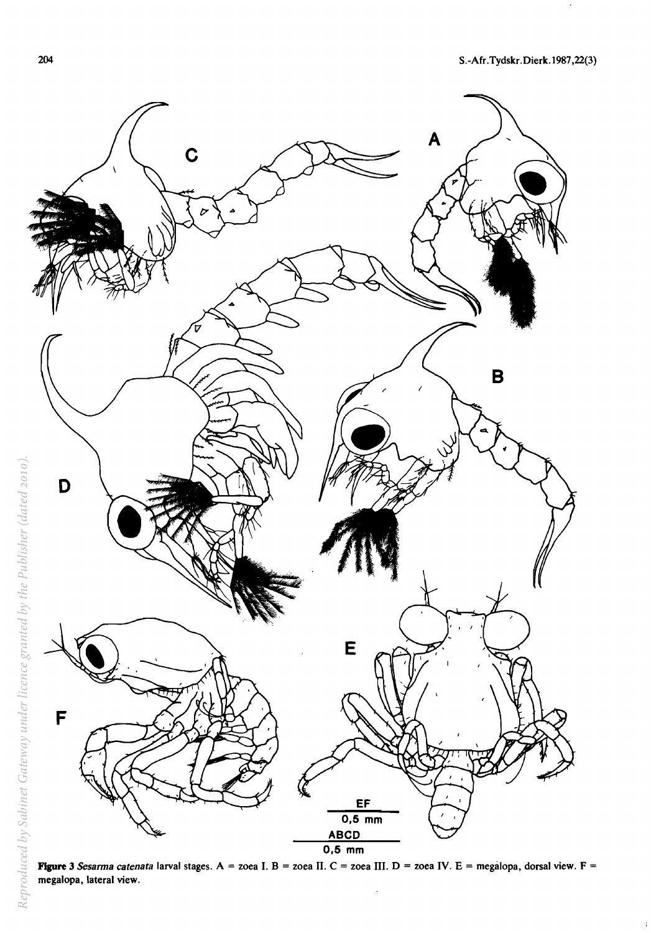

**Flgure 3** *Sesarma catenata* larval stages. A = zoea I. B = zoea II. C = zoea **III.** D = zoea IV. E = megalopa, dorsal view. F = megalopa, lateral view.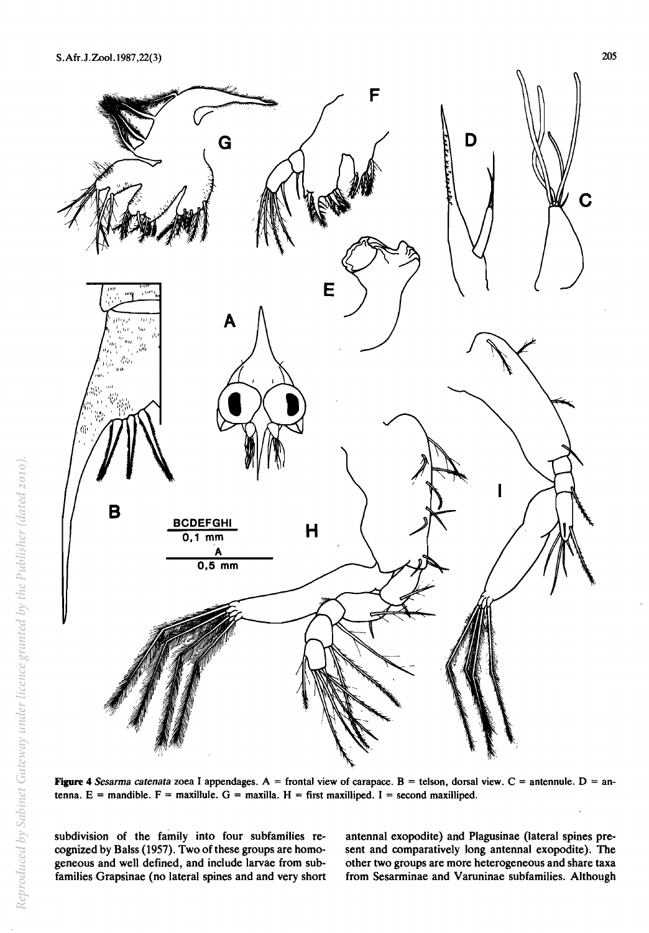

Figure 4 *Sesarma catenata* zoea I appendages. A = frontal view of carapace. B = telson, dorsal view. C = antennule. D = antenna. E = mandible. F = maxillule. G = maxilla. H = first maxilliped. I = second maxilliped.

subdivision of the family into four subfamilies recognized by Balss (1957). Two of these groups are homogeneous and well defined, and include larvae from subfamilies Grapsinae (no lateral spines and and very short

antennal exopodite) and Plagusinae (lateral spines present and comparatively long antennal exopodite). The other two groups are more heterogeneous and share taxa from Sesarminae and Varuninae subfamilies. Although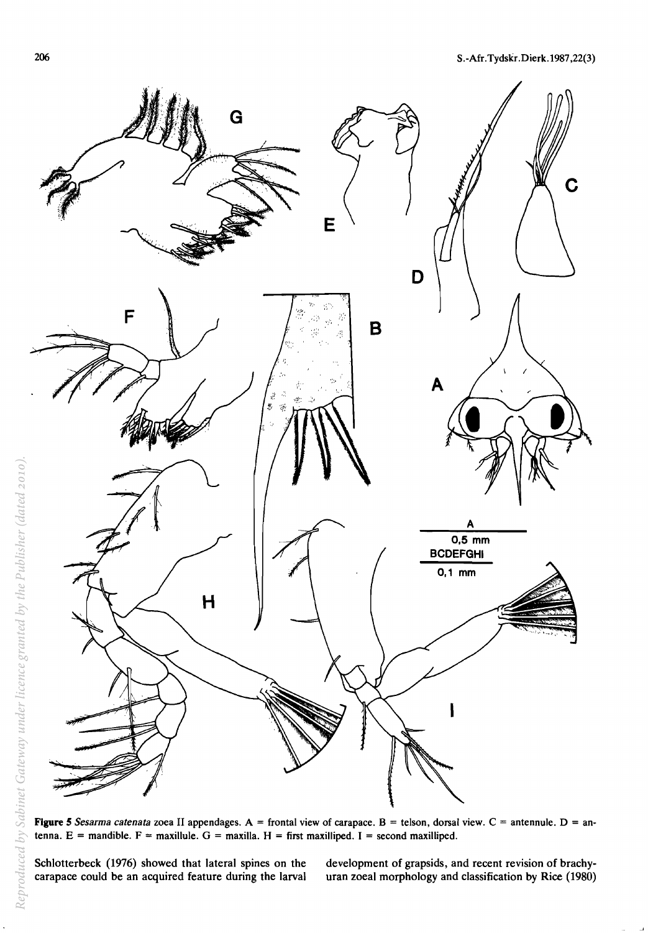

**Figure 5** *Sesarma catenata* zoea II appendages. A = frontal view of carapace. B = telson, dorsal view. C = antennule. D = antenna. E = mandible. F = maxillule. G = maxilla. H = first maxilliped. I = second maxilliped.

Schlotterbeck (1976) showed that lateral spines on the carapace could be an acquired feature during the larval development of grapsids, and recent revision of brachyuran zoeal morphology and classification by Rice (1980)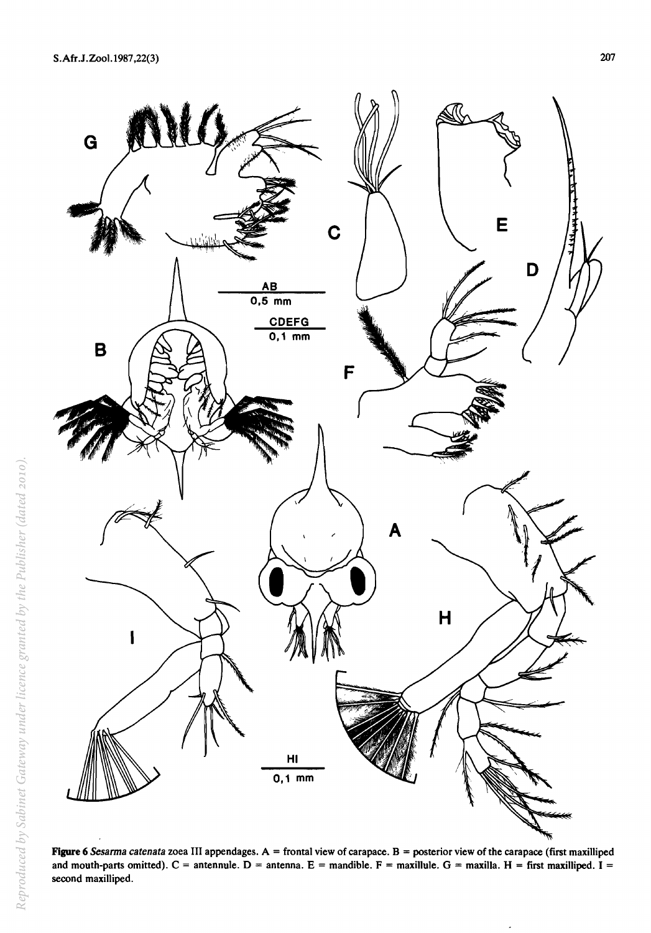

Figure 6 Sesarma catenata zoea III appendages. A = frontal view of carapace. B = posterior view of the carapace (first maxilliped and mouth-parts omitted).  $C =$  antennule.  $D =$  antenna.  $E =$  mandible.  $F =$  maxillule.  $G =$  maxilla.  $H =$  first maxilliped. I = second maxilliped.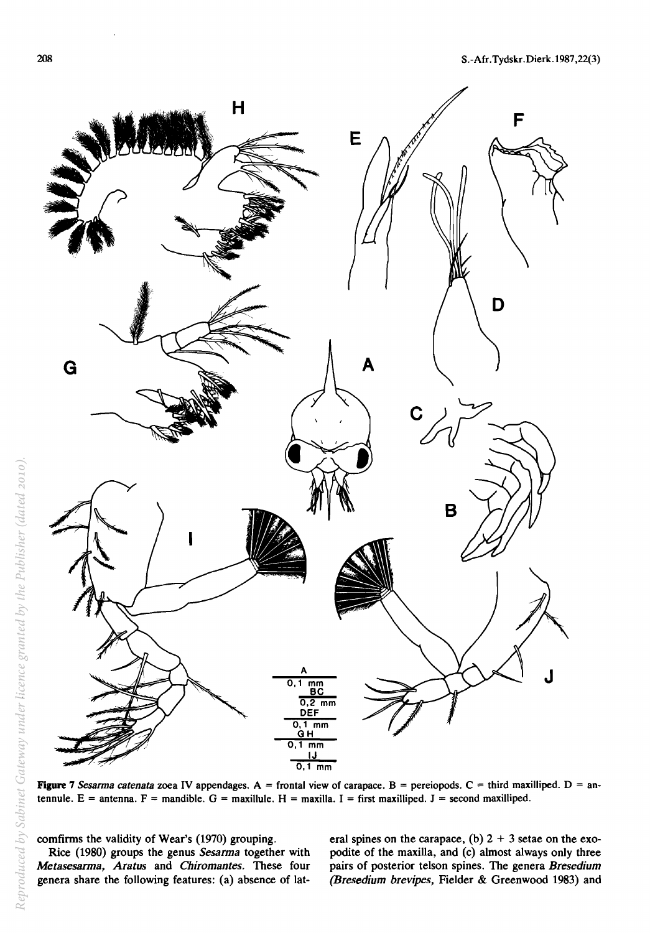

**Figure 7** *Sesanna catenata* zoea IV appendages. A = frontal view of carapace. B = pereiopods. C = third maxilliped. D = antennule.  $E =$  antenna.  $F =$  mandible.  $G =$  maxillule.  $H =$  maxilla. I = first maxilliped. J = second maxilliped.

comfirms the validity of Wear's (1970) grouping.

Rice (1980) groups the genus *Sesarma* together with *Metasesarma, Aratus* and *Chiromantes.* These four genera share the following features: (a) absence of lateral spines on the carapace, (b)  $2 + 3$  setae on the exopodite of the maxilla, and (c) almost always only three pairs of posterior telson spines. The genera *Bresedium (Bresedium brevipes,* Fielder & Greenwood 1983) and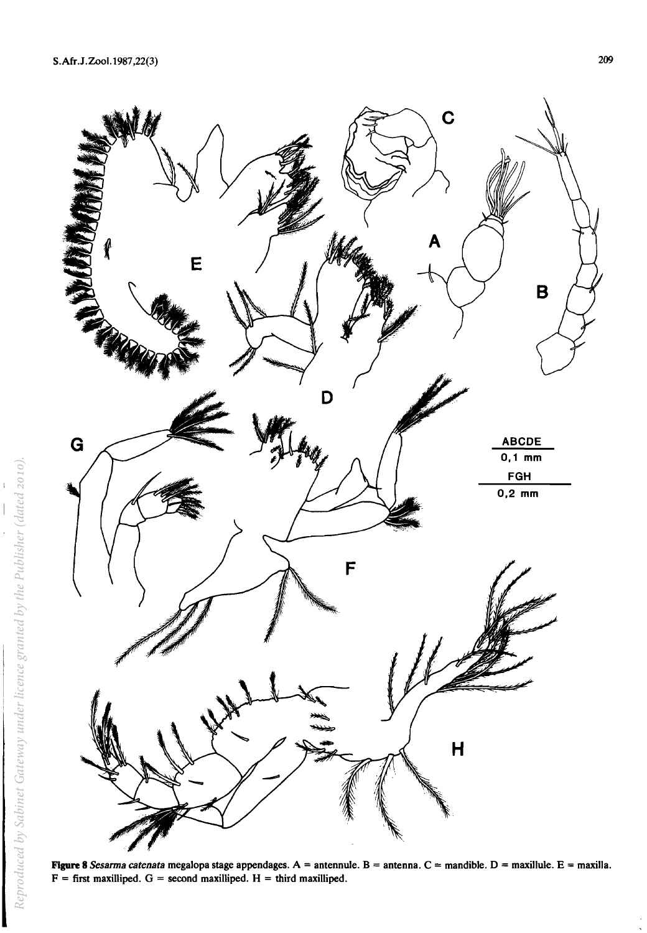

**Figure 8** *Sesarma catenata* megalopa stage appendages. A = antennule. B = antenna. C = mandible. D = maxillule. E = maxilla.  $F =$  first maxilliped.  $G =$  second maxilliped.  $H =$  third maxilliped.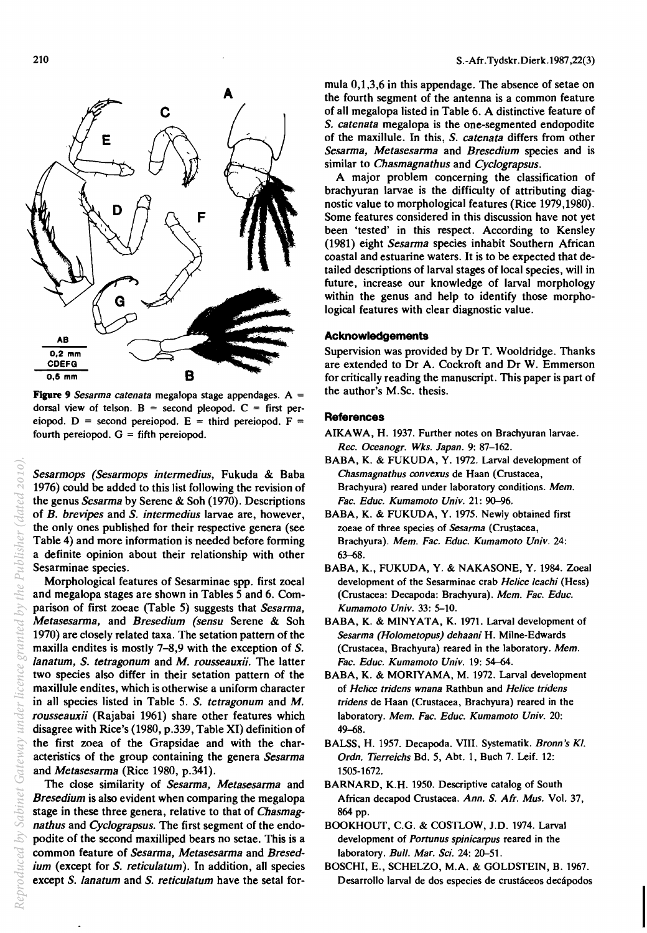

Figure 9 *Sesarma catenata* megalopa stage appendages. A = dorsal view of telson.  $B =$  second pleopod.  $C =$  first pereiopod. D = second pereiopod. E = third pereiopod. F = fourth pereiopod.  $G =$  fifth pereiopod.

*Sesarmops (Sesarmops intermedius,* Fukuda & Baba 1976) could be added to this list following the revision of the genus *Sesarma* by Serene & Soh (1970). Descriptions of *B. brevipes* and S. *intermedius* larvae are, however, the only ones published for their respective genera (see Table 4) and more information is needed before forming a definite opinion about their relationship with other Sesarminae species.

Morphological features of Sesarminae spp. first zoeal and megalopa stages are shown in Tables 5 and 6. Comparison of first zoeae (Table 5) suggests that *Sesarma, Metasesarma, and Bresedium (sensu Serene & Soh* 1970) are closely related taxa. The setation pattern of the maxilla endites is mostly 7-8,9 with the exception of S. */anatum,* S. *tetragonum* and M. *rousseauxii.* The latter two species also differ in their setation pattern of the maxillule endites, which is otherwise a uniform character in all species listed in Table 5. S. *tetragonum* and M. *rousseauxii* (Rajabai 1961) share other features which disagree with Rice's (1980, p.339, Table XI) definition of the first zoea of the Grapsidae and with the characteristics of the group containing the genera *Sesarma*  and *Metasesarma* (Rice 1980, p.341).

The close similarity of *Sesarma, Metasesarma* and *Bresedium* is also evident when comparing the megalopa stage in these three genera, relative to that of *Chasmagnathus* and *CycJograpsus.* The first segment of the endopodite of the second maxilliped bears no setae. This is a common feature of *Sesarma, Metasesarma* and *Bresedium* (except for S. *reticulatum*). In addition, all species except S. lanatum and S. reticulatum have the setal formula 0,1,3,6 in this appendage. The absence of setae on the fourth segment of the antenna is a common feature of all megalopa listed in Table 6. A distinctive feature of S. *catenata* megalopa is the one-segmented endopodite of the maxilIule. In this, S. *catenata* differs from other *Sesarma, Metasesarma* and *Bresedium* species and is similar to *Chasmagnathus* and *CycJograpsus.* 

A major problem concerning the classification of brachyuran larvae is the difficulty of attributing diagnostic value to morphological features (Rice 1979,1980). Some features considered in this discussion have not yet been 'tested' in this respect. According to Kensley (1981) eight *Sesarma* species inhabit Southern African coastal and estuarine waters. It is to be expected that detailed descriptions of larval stages of local species, will in future, increase our knowledge of larval morphology within the genus and help to identify those morphological features with clear diagnostic value.

#### Acknowledgements

Supervision was provided by Dr T. Wooldridge. Thanks are extended to Dr A. Cockroft and Dr W. Emmerson for critically reading the manuscript. This paper is part of the author's M.Sc. thesis.

#### **References**

- AIKAWA, H. 1937. Further notes on Brachyuran larvae. *Rec. Oceanogr. Wks. Japan.* 9: 87-162.
- BABA, K. & FUKUDA, Y. 1972. Larval development of *Chasmagnathus convexus* de Haan (Crustacea, Brachyura) reared under laboratory conditions. *Mem. Fac. Educ. Kumamoto Univ.* 21: 90-96.
- BABA, K. & FUKUDA, Y. 1975. Newly obtained first zoeae of three species of *Sesarma* (Crustacea, Brachyura). *Mem. Fac. Educ. Kumamoto Univ. 24:*  63-68.
- BABA, K., FUKUDA, Y. & NAKASONE, Y. 1984. Zoeal development of the Sesarminae crab *Helice leachi* (Hess) (Crustacea: Decapoda: Brachyura). *Mem. Fac. Educ. Kumamoto Univ.* 33: 5-10.
- BABA, K. & MINYATA, K. 1971. Larval development of *Sesarma (Holometopus) dehaani* H. Milne-Edwards (Crustacea, Brachyura) reared in the laboratory. *Mem. Fac. Educ. Kumamoto Univ.* 19: 54-64.
- BABA, K. & MORIYAMA, M. 1972. Larval development of *Helice tridens wnana* Rathbun and *Helice tridens tridens* de Haan (Crustacea, Brachyura) reared in the laboratory. *Mem. Fac. Educ. Kumamoto Univ. 20:*  49-68.
- BALSS, H. 1957. Decapoda. VIII. Systematik. *Bronn's KI. Ordn. Tierreichs* Bd. 5, Abt. 1, Buch 7. Leif. 12: 1505-1672.
- BARNARD, K.H. 1950. Descriptive catalog of South African decapod Crustacea. *Ann.* S. *AlT. Mus.* Vol. 37, 864 pp.
- BOOKHOUT, C.G. & COSTLOW, J.D. 1974. Larval development of *Portunus spinicarpus* reared in the laboratory. *Bull. Mar. Sci.* 24: 20-51.
- BOSCHI, E., SCHELZO, M.A. & GOLDSTEIN, B. 1967. Desarrollo larval de dos especies de crustáceos decápodos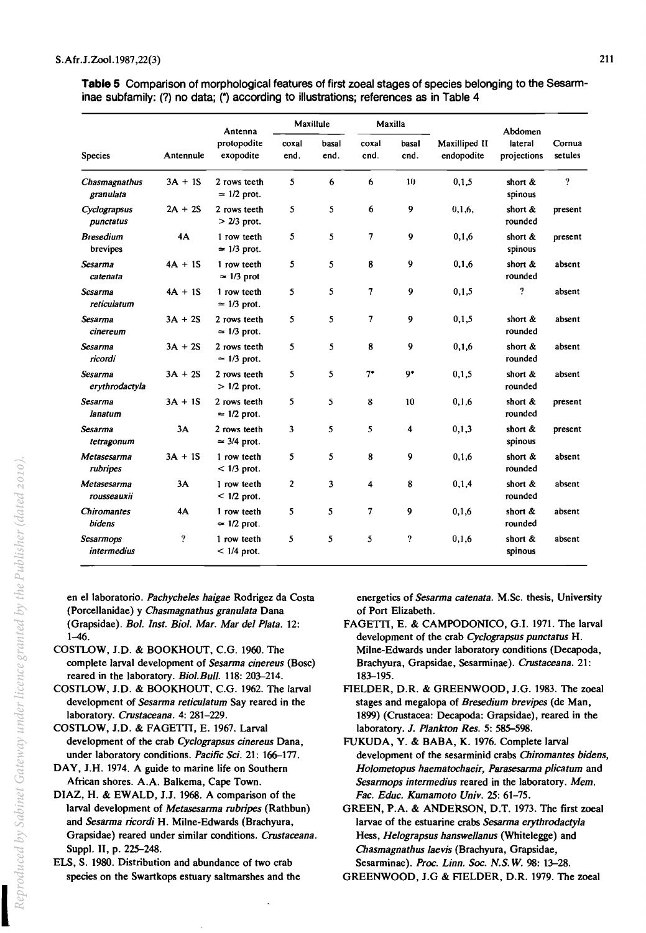**Table 5** Comparison of morphological features of first zoeal stages of species belonging to the Sesarminae subfamily: (?) no data; (\*) according to illustrations; references as in Table 4

|                                 |                | Antenna<br>protopodite<br>exopodite | Maxillule      |               | Maxilla       |                |                             | Abdomen                |                   |
|---------------------------------|----------------|-------------------------------------|----------------|---------------|---------------|----------------|-----------------------------|------------------------|-------------------|
| <b>Species</b>                  | Antennule      |                                     | coxal<br>end.  | basal<br>end. | coxal<br>cnd. | basal<br>cnd.  | Maxilliped II<br>endopodite | lateral<br>projections | Cornua<br>setules |
| Chasmagnathus<br>granulata      | $3A + 1S$      | 2 rows teeth<br>$\approx$ 1/2 prot. | 5              | 6             | 6             | 10             | 0,1,5                       | short $\&$<br>spinous  | $\overline{?}$    |
| Cyclograpsus<br>punctatus       | $2A + 2S$      | 2 rows teeth<br>$>$ 2/3 prot.       | 5              | 5             | 6             | 9              | 0,1,6,                      | short &<br>rounded     | present           |
| <b>Bresedium</b><br>brevipes    | 4A             | 1 row teeth<br>$\approx$ 1/3 prot.  | 5              | 5             | 7             | 9              | 0,1,6                       | short $\&$<br>spinous  | present           |
| Sesarma<br>catenata             | $4A + 1S$      | 1 row teeth<br>$\approx$ 1/3 prot   | 5              | 5             | 8             | 9              | 0,1,6                       | short &<br>rounded     | absent            |
| Sesarma<br>reticulatum          | $4A + 1S$      | 1 row teeth<br>$\simeq$ 1/3 prot.   | 5              | 5             | 7             | 9              | 0,1,5                       | ?                      | absent            |
| Sesarma<br>cinereum             | $3A + 2S$      | 2 rows teeth<br>$\simeq$ 1/3 prot.  | 5              | 5             | 7             | 9              | 0,1,5                       | short $\&$<br>rounded  | absent            |
| Sesarma<br>ricordi              | $3A + 2S$      | 2 rows teeth<br>$\approx$ 1/3 prot. | 5              | 5             | 8             | 9              | 0,1,6                       | short $\&$<br>rounded  | absent            |
| Sesarma<br>erythrodactyla       | $3A + 2S$      | 2 rows teeth<br>$> 1/2$ prot.       | 5              | 5             | $7^{\circ}$   | 9 <sup>•</sup> | 0, 1, 5                     | short $\&$<br>rounded  | absent            |
| Sesarma<br>lanatum              | $3A + 1S$      | 2 rows teeth<br>$\approx$ 1/2 prot. | 5              | 5             | 8             | 10             | 0,1,6                       | short &<br>rounded     | present           |
| Sesarma<br>tetragonum           | 3A             | 2 rows teeth<br>$\approx$ 3/4 prot. | 3              | 5             | 5             | 4              | 0,1,3                       | short $\&$<br>spinous  | present           |
| Metasesarma<br>rubripes         | $3A + 1S$      | 1 row teeth<br>$<$ 1/3 prot.        | 5              | 5             | 8             | 9              | 0, 1, 6                     | short &<br>rounded     | absent            |
| Metasesarma<br>rousseauxii      | 3A             | 1 row teeth<br>$< 1/2$ prot.        | $\overline{2}$ | 3             | 4             | 8              | 0,1,4                       | short &<br>rounded     | absent            |
| Chiromantes<br>bidens           | 4A             | 1 row teeth<br>$\approx$ 1/2 prot.  | 5              | 5             | 7             | 9              | 0,1,6                       | short &<br>rounded     | absent            |
| Sesarmops<br><i>intermedius</i> | $\overline{?}$ | 1 row teeth<br>$< 1/4$ prot.        | 5              | 5             | 5             | ?              | 0, 1, 6                     | short &<br>spinous     | absent            |

en e1laboratorio. *Pachyche/es haigae* Rodrigez da Costa (Porcellanidae) y *Chasmagnathus granulata* Dana (Grapsidae). *Bol. Inst. BioI. Mar. Mar del Plata. 12:*  1-46.

- COSTLOW, J.D. & BOOKHOUT, C.G. 1960. The complete larval development of *Sesarma cinereus* (Bosc) reared in the laboratory. *BioI. Bull.* 118: 203-214.
- COSTLOW, J.D. & BOOKHOUT, C.G. 1962. The larval development of *Sesarma reticulatum* Say reared in the laboratory. *Crustaceana.* 4: 281-229.
- COSTLOW, J.D. & FAGETTI, E. 1967. Larval development of the crab *CycJograpsus cinereus* Dana, under laboratory conditions. *Pacific Sci.* 21: 166-177.
- DAY, J.H. 1974. A guide to marine life on Southern African shores. A.A. Balkema, Cape Town.
- DIAZ, H. & EWALD, J.J. 1968. A comparison of the larval development of *Metasesarma rubripes* (Rathbun) and *Sesarma ricordi* H. Milne-Edwards (Brachyura, Grapsidae) reared under similar conditions. *Crustaceana.*  Suppl. II, p. 225-248.
- ELS, S. 1980. Distribution and abundance of two crab species on the Swartkops estuary saltmarshes and the

energetics of *Sesarma catenata.* M.Sc. thesis, University of Port Elizabeth.

- FAGETTI, E. & CAMPODONICO, G.I. 1971. The larval development of the crab *CycJograpsus punctatus* H. Milne-Edwards under laboratory conditions (Decapoda, Brachyura, Grapsidae, Sesarminae). *Crustaceana. 21:*  183-195.
- FIELDER, D.R. & GREENWOOD, J.G. 1983. The zoeal stages and megalopa of *Bresedium brevipes* (de Man, 1899) (Crustacea: Decapoda: Grapsidae), reared in the laboratory. *1. Plankton Res.* 5: 585-598.
- FUKUDA, Y. & BABA, K. 1976. Complete larval development of the sesarminid crabs *Chiromantes bidens, Holometopus haematochaeir, Parasesarma plica tum* and *Sesarmops intermedius* reared in the laboratory. Mem. *Fac. Educ. Kumamoto Univ.* 25: 61-75.

GREEN, P.A. & ANDERSON, D.T. 1973. The first zoeal larvae of the estuarine crabs *Sesarma erythrodactyla*  Hess, *He/ograpsus hanswellanus* (Whitelegge) and *Chasmagnathus laevis* (Brachyura, Grapsidae, Sesarminae). *Proc. Linn. Soc. N.S.* W. 98: 13-28.

```
GREENWOOD, J.G & FIELDER, D.R. 1979. The zoeal
```